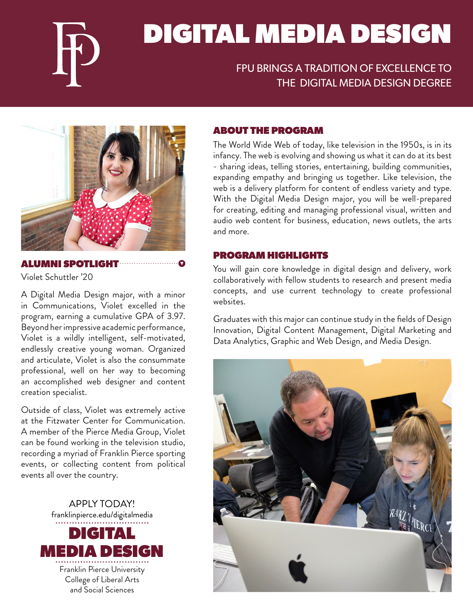

# DIGITAL MEDIA DESIGN

## FPU BRINGS A TRADITION OF EXCELLENCE TO THE DIGITAL MEDIA DESIGN DEGREE



## ALUMNI SPOTLIGHT

Violet Schuttler '20

A Digital Media Design major, with a minor in Communications, Violet excelled in the program, earning a cumulative GPA of 3.97. Beyond her impressive academic performance, Violet is a wildly intelligent, self-motivated, endlessly creative young woman. Organized and articulate, Violet is also the consummate professional, well on her way to becoming an accomplished web designer and content creation specialist.

Outside of class, Violet was extremely active at the Fitzwater Center for Communication. A member of the Pierce Media Group, Violet can be found working in the television studio, recording a myriad of Franklin Pierce sporting events, or collecting content from political events all over the country.



## ABOUT THE PROGRAM

The World Wide Web of today, like television in the 1950s, is in its infancy. The web is evolving and showing us what it can do at its best - sharing ideas, telling stories, entertaining, building communities, expanding empathy and bringing us together. Like television, the web is a delivery platform for content of endless variety and type. With the Digital Media Design major, you will be well-prepared for creating, editing and managing professional visual, written and audio web content for business, education, news outlets, the arts and more.

#### PROGRAM HIGHLIGHTS

You will gain core knowledge in digital design and delivery, work collaboratively with fellow students to research and present media concepts, and use current technology to create professional websites.

Graduates with this major can continue study in the fields of Design Innovation, Digital Content Management, Digital Marketing and Data Analytics, Graphic and Web Design, and Media Design.